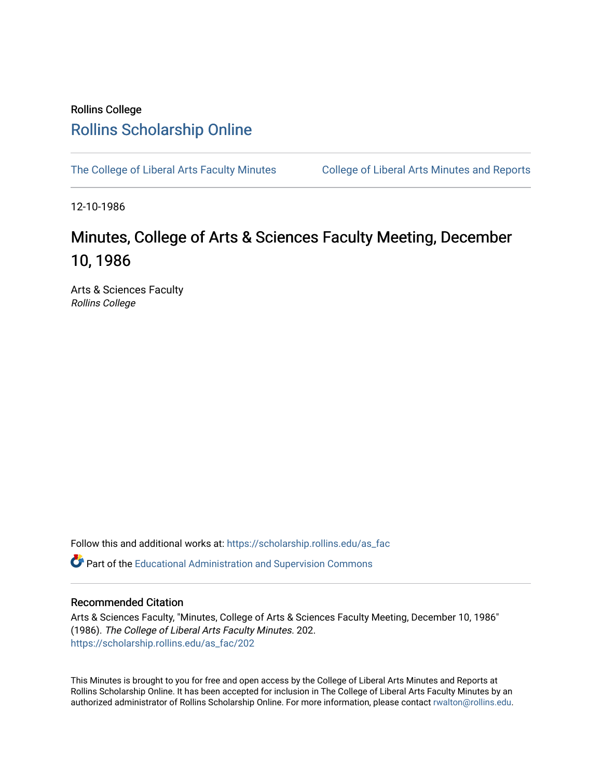### Rollins College [Rollins Scholarship Online](https://scholarship.rollins.edu/)

[The College of Liberal Arts Faculty Minutes](https://scholarship.rollins.edu/as_fac) College of Liberal Arts Minutes and Reports

12-10-1986

# Minutes, College of Arts & Sciences Faculty Meeting, December 10, 1986

Arts & Sciences Faculty Rollins College

Follow this and additional works at: [https://scholarship.rollins.edu/as\\_fac](https://scholarship.rollins.edu/as_fac?utm_source=scholarship.rollins.edu%2Fas_fac%2F202&utm_medium=PDF&utm_campaign=PDFCoverPages) 

**P** Part of the [Educational Administration and Supervision Commons](http://network.bepress.com/hgg/discipline/787?utm_source=scholarship.rollins.edu%2Fas_fac%2F202&utm_medium=PDF&utm_campaign=PDFCoverPages)

### Recommended Citation

Arts & Sciences Faculty, "Minutes, College of Arts & Sciences Faculty Meeting, December 10, 1986" (1986). The College of Liberal Arts Faculty Minutes. 202. [https://scholarship.rollins.edu/as\\_fac/202](https://scholarship.rollins.edu/as_fac/202?utm_source=scholarship.rollins.edu%2Fas_fac%2F202&utm_medium=PDF&utm_campaign=PDFCoverPages) 

This Minutes is brought to you for free and open access by the College of Liberal Arts Minutes and Reports at Rollins Scholarship Online. It has been accepted for inclusion in The College of Liberal Arts Faculty Minutes by an authorized administrator of Rollins Scholarship Online. For more information, please contact [rwalton@rollins.edu](mailto:rwalton@rollins.edu).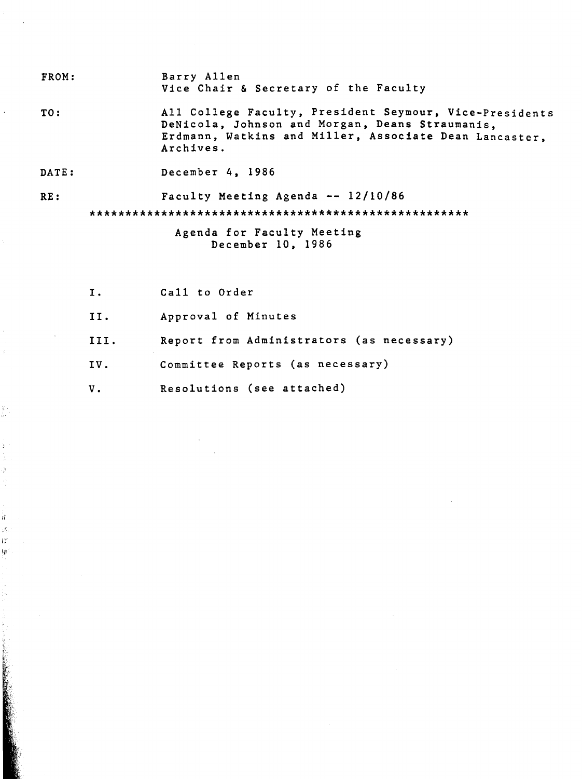- FROM: Barry Allen Vice Chair & Secretary of the Faculty
- TO: All College Faculty, President Seymour, Vice-Presidents DeNicola, Johnson and Morgan, Deans Straumanis, Erdmann, Watkins and Miller, Associate Dean Lancaster, Archives.
- DATE: December 4, 1986

**RE:** 

ľ.

ķ.

ğ.

Ř. ik. ١ř Ų.

Faculty Meeting Agenda -- 12/10/86

\*\*\*\*\*\*\*\*\*\*\*\*\*\*\*\*\*\*\*\*\*\*\*\*\*\*\*\*\*\*\*\*\*\*\*\*\*\*\*\*\*\*\*\*\*\*\*\*\*\*\*\*\*

Agenda for Faculty Meeting December 10, 1986

I. II. III. IV. v. Call to Order Approval of Minutes Report from Administrators (as necessary) Committee Reports (as necessary) Resolutions (see attached)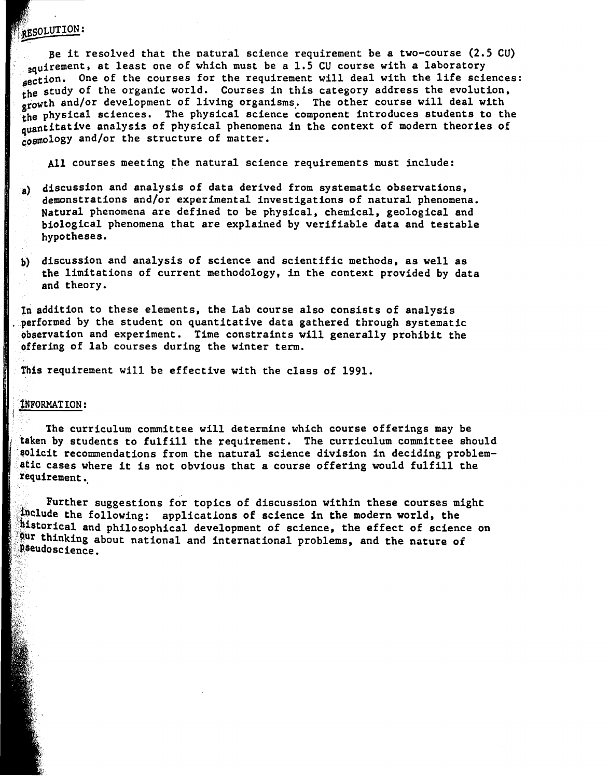### RESOLUTION:

Be it resolved that the natural science requirement be a two-course (2.5 CU) aquirement, at least one of which must be a 1.5 CU course with a laboratory section. One of the courses for the requirement will deal with the life sciences: the study of the organic world. Courses in this category address the evolution, growth and/or development of living organisms. The other course will deal with the physical sciences. The physical science component introduces students to the quantitative analysis of physical phenomena in the context of modern theories of cosmology and/or the structure of matter.

All courses meeting the natural science requirements must include:

- a) discussion and analysis of data derived from systematic observations, demonstrations and/or experimental investigations of natural phenomena. Natural phenomena are defined to be physical. chemical. geological and biological phenomena that are explained by verifiable data and testable hypotheses.
- b) discussion and analysis of science and scientific methods, as well as the limitations of current methodology. in the context provided by data and theory.

In addition to these elements, the Lab course also consists of analysis performed by the student on quantitative data gathered through systematic observation and experiment. Time constraints will generally prohibit the **offering** of lab courses during the winter term.

This requirement will be effective with the class of 1991.

#### lNFORMATION:

*!L* 

The curriculum committee will determine which course offerings may be taken by students to fulfill the requirement. The curriculum committee should solicit recommendations from the natural science division in deciding problematic cases where it is not obvious that a course offering would fulfill the requirement.

Further suggestions for topics of discussion within these courses might include the following: applications of science in the modern world, the thistorical and philosophical development of science, the effect of science on Our thinking about national and international problems, and the nature of *pseudoscience*.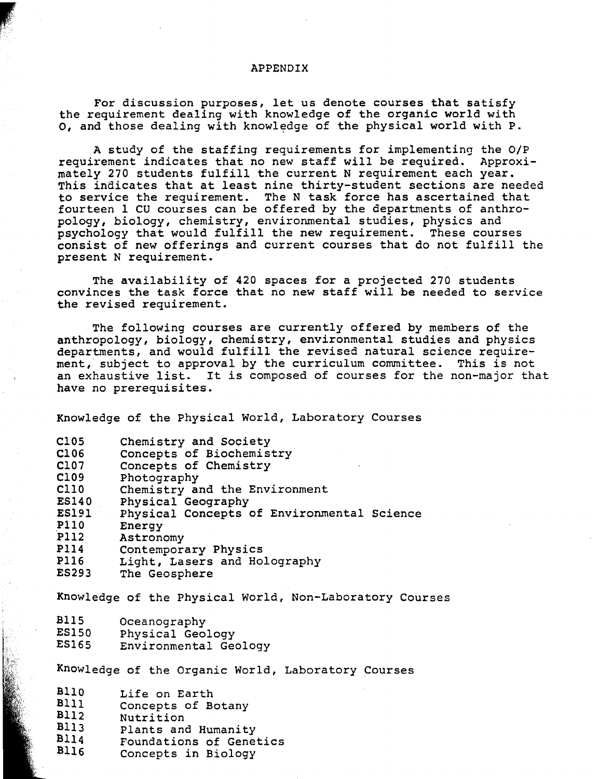#### APPENDIX

For discussion purposes, let us denote courses that satisfy the requirement dealing with knowledge of the organic world with o, and those dealing with knowledge of the physical world with P.

A study of the staffing requirements for implementing the O/P requirement indicates that no new staff will be required. Approximately 270 students fulfill the current N requirement each year. This indicates that at least nine thirty-student sections are needed to service the requirement. The N task force has ascertained that fourteen 1 CU courses can be offered by the departments of anthropology, biology, chemistry, environmental studies, physics and psychology that would fulfill the new requirement. These courses consist of new offerings and current courses that do not fulfill the present N requirement.

The availability of 420 spaces for a projected 270 students convinces the task force that no new staff will be needed to service the revised requirement.

The following courses are currently offered by members of the anthropology, biology, chemistry, environmental studies and physics departments, and would fulfill the revised natural science requirement, subject to approval by the curriculum committee. This is not an exhaustive list. It is composed of courses for the non-major that have no prerequisites.

Knowledge of the Physical World, Laboratory Courses

| C <sub>105</sub> | Chemistry and Society                      |
|------------------|--------------------------------------------|
| C106             | Concepts of Biochemistry                   |
| C107             | Concepts of Chemistry                      |
| C109             | Photography                                |
| C110             | Chemistry and the Environment              |
| <b>ES140</b>     | Physical Geography                         |
| <b>ES191</b>     | Physical Concepts of Environmental Science |
| <b>P110</b>      | Energy                                     |
| P112             | Astronomy                                  |
| <b>P114</b>      | Contemporary Physics                       |
| <b>P116</b>      | Light, Lasers and Holography               |
| <b>ES293</b>     | The Geosphere                              |

Knowledge of the Physical World, Non-Laboratory Courses

- **BllS**  Oceanography
- **ESlS0**  Physical Geology
- **ES165**  Environmental Geology

Knowledge of the Organic World, Laboratory Courses

| <b>B110</b> |  | Life on Earth |  |
|-------------|--|---------------|--|
| <b>DIII</b> |  |               |  |

- **Blll Bll2**  Concepts of Botany
- **Bll3**  Nutrition
- **Bll4**  Plants and Humanity
- **Bll6**  Foundations of Genetics
- Concepts in Biology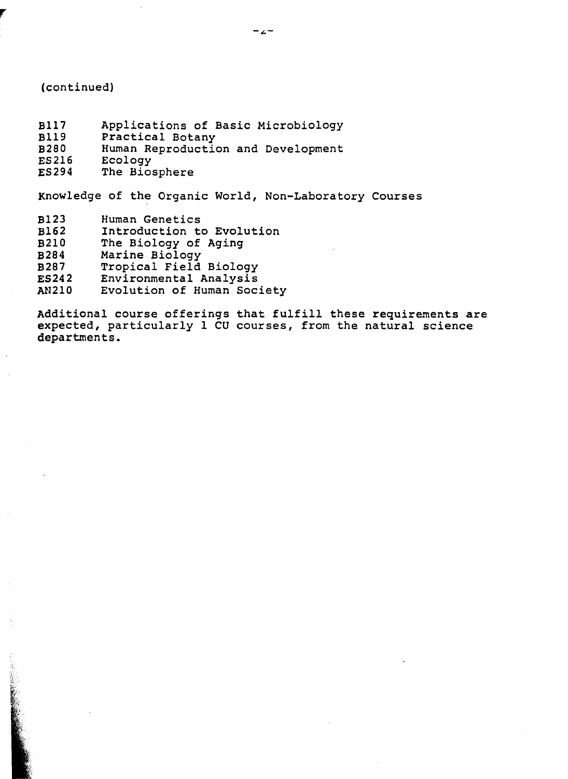#### (continued)

**r** 

- Bl17 Applications of Basic Microbiology
- Bll9 Practical Botany
- **B280**  Human Reproduction and Development
- **ES216**  Ecology
- **E5294**  The Biosphere

Knowledge of the Organic World, Non-Laboratory Courses

- **B123**  Human Genetics
- **Bl62**  Introduction to Evolution
- **B210**  The Biology of Aging
- **B284**  Marine Biology
- **B287**  Tropical Field Biology
- **ES242**  Environmental Analysis
- **AN210**  Evolution of Human Society

Additional course offerings that fulfill these requirements are expected, particularly 1 CU courses, from the natural science departments.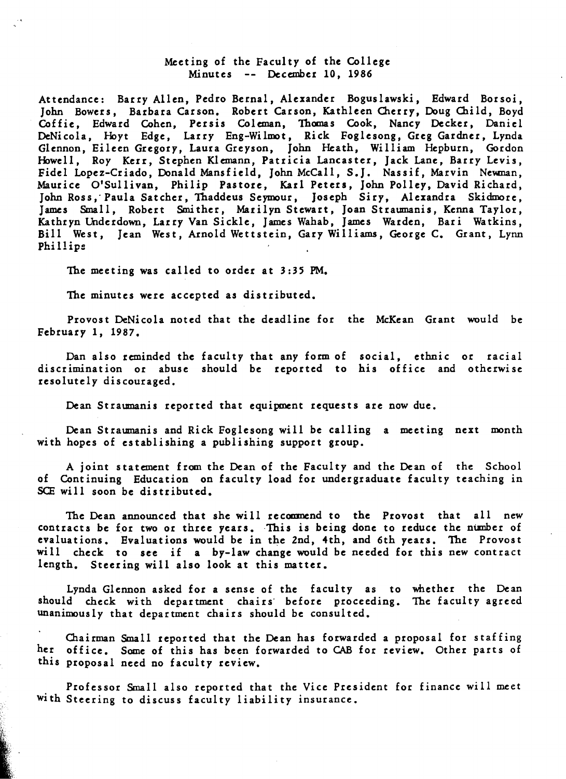#### Meeting of the Faculty of the College Minutes December 10, 1986

Attendance: Barry Allen, Pedro Bernal, Alexander Boguslawski, Edward Borsoi, John Bowers, Barbara Carson, Robert Carson, Kathleen Cherry, Doug Child, Boyd Coffie, Edward Cohen, Persis Coleman, Thomas Cook, Nancy Decker, Daniel DeNicola, Hoyt Edge, Larry Eng-Wilmot, Rick Foglesong, Greg Gardner, Lynda Glennon, Eileen Gregory, Laura Greyson, John Heath, William Hepburn, Gordon Howell, Roy Kerr, Stephen Klemann, Patricia Lancaster, Jack Lane, Barry Levis, Fidel Lopez-Criado, Donald Mansfield, John McCall, S.J. Nassif, Marvin Newnan, Maurice O'Sullivan, Philip Pastore, Karl Peters, John Polley, David Richard, John Ross, Paula Satcher, Thaddeus Seymour, Joseph Siry, Alexandra Skidmore, James Small, Robert Smither, Marilyn Stewart, Joan Straumanis, Kenna Taylor, Kathryn Underdown, Larry Van Sickle, James Wahab, James Warden, Bari Watkins, Bill West, Jean West, Arnold Wettstein, Gary Williams, George C. Grant, Lynn Phillip::

The meeting was called to order at 3:35 PM.

The minutes were accepted as distributed.

Provost DeNicola noted that the deadline for the McKean Grant would be February 1, 1987.

Dan also reminded the faculty that any form of social, ethnic or racial discrimination or abuse should be reported to his office and otherwise resolutely discouraged.

Dean Straumanis reported that equipment requests are now due.

Dean Straumanis and Rick Foglesong will be calling a meeting next month with hopes of establishing a publishing support group.

A joint statement from the Dean of the Faculty and the Dean of the School of Continuing Education on faculty load for undergraduate faculty teaching in SCE will soon be distributed.

The Dean announced that she will recommend to the Provost that all new contracts be for two or three years. This is being done to reduce the number of evaluations. Evaluations would be in the 2nd, 4th, and 6th years. The Provost will check to see if a by-law change would be needed for this new contract length. Steering will also look at this matter.

Lynda Glennon asked for a sense of the faculty as to whether the Dean should check with department chairs· before proceeding. The faculty agreed unanimously that department chairs should be consulted.

Chairman Small reported that the Dean has forwarded a proposal for staffing her office. Some of this has been forwarded to CAB for review. Other parts of this proposal need no faculty review.

Professor Small also reported that the Vice President for finance will meet with Steering to discuss faculty liability insurance.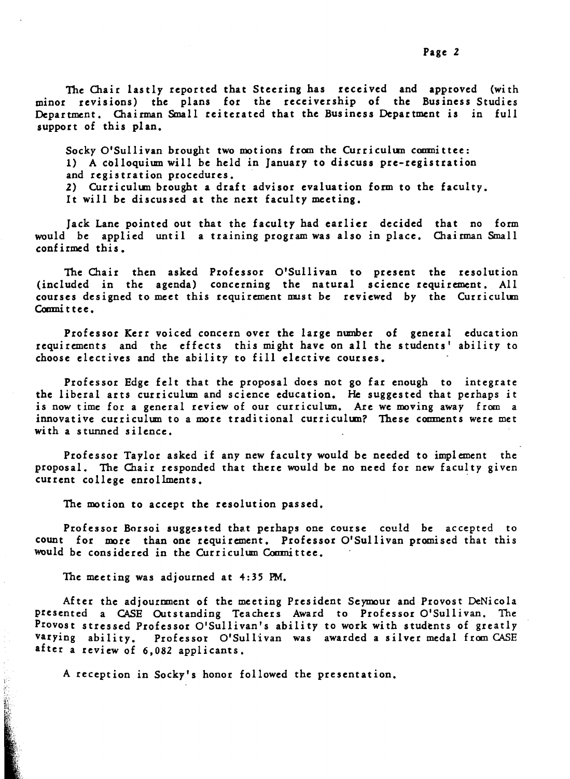The Chair lastly reported that Steering has received and approved (with minor revisions) the plans for the receivership of the Business Studies Department. Chairman Small reiterated that the Business Department is in full support of this plan.

Socky O'Sullivan brought two motions from the Curriculum committee: 1) A colloquium will be held in January to discuss pre-registration and registration procedures.

2) Curriculun brought a draft advisor evaluation form to the faculty.

It will be discussed at the next faculty meeting.

Jack Lane pointed out that the faculty had earlier decided that no form would be applied until a training program was also in place. Chairman Small confirmed this.

The Chair then asked Professor O'Sullivan to present the resolution (included in the agenda) concerning the natural science requirement. All courses designed to meet this requirement must be reviewed by the Curriculum Committee.

Professor Kerr voiced concern over the large nmnber of general education requirements and the effects this might have on all the students' ability to choose electives and the ability to fill elective courses.

Professor Edge felt that the proposal does not go far enough to integrate the liberal arts curriculum and science education. He suggested that perhaps it is now time for a general review of our curriculum. Are we moving away from a innovative curriculum to a more traditional curriculum? These comments were met with a stunned silence.

Professor Taylor asked if any new faculty would be needed to implement the proposal. The Chair responded that there would be no need for new faculty given current college enrollments.

The motion to accept the resolution passed.

Professor Borsoi suggested that perhaps one course could be accepted to count for more than one requirement. Professor O'Sullivan promised that this would be considered in the Curriculum Coomittee.

The meeting was adjourned at 4:35 PM.

After the adjournment of the meeting President Seymour and Provost DcNicola presented a CASE Outstanding Teachers Award to Professor O'Sullivan. The Provost stressed Professor O'Sullivan's ability to work with students of greatly varying ability. Professor O'Sullivan was awarded a silver medal from CASE after a review of 6,082 applicants.

A reception in Socky's honor followed the presentation.